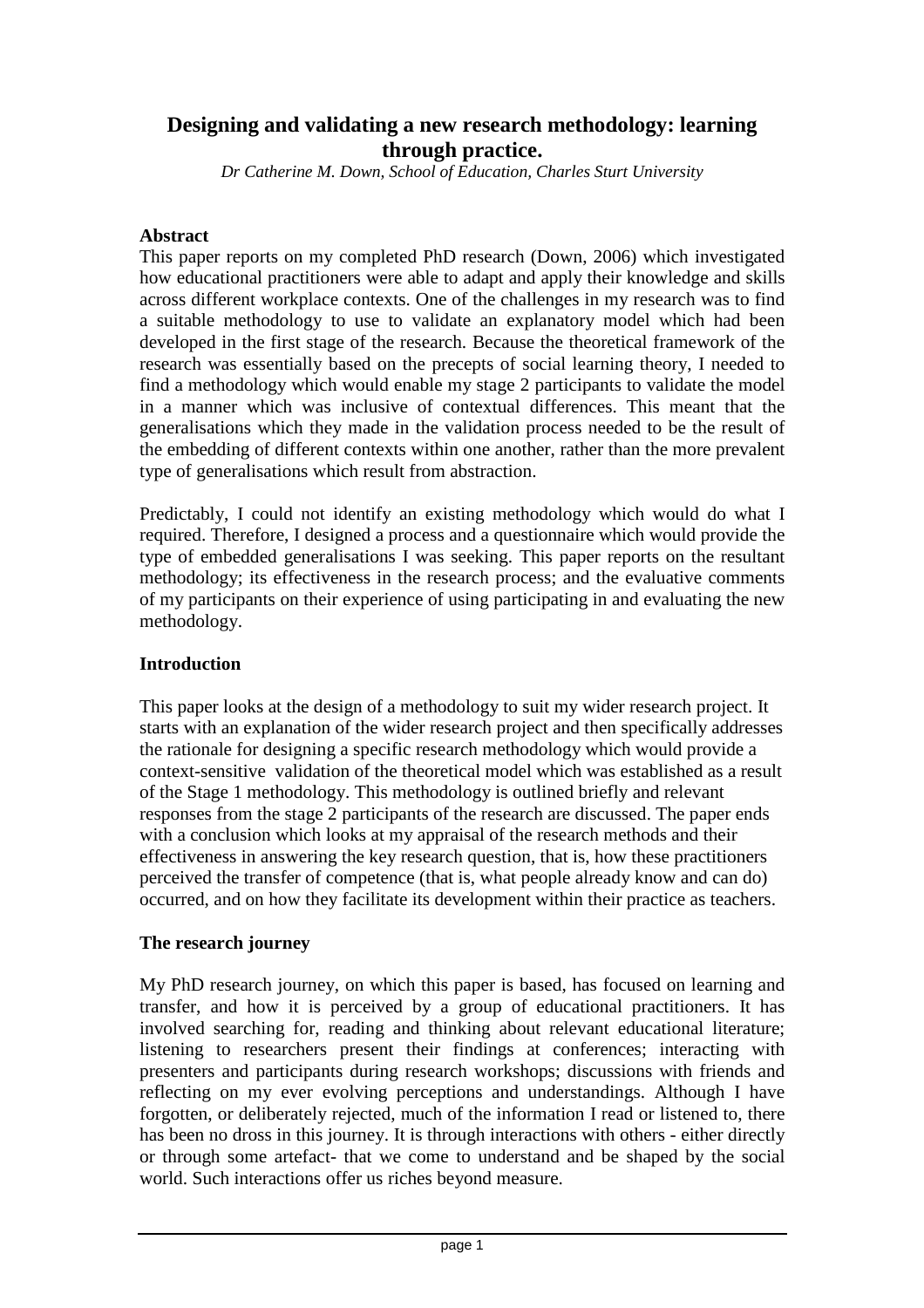# **Designing and validating a new research methodology: learning through practice.**

*Dr Catherine M. Down, School of Education, Charles Sturt University* 

#### **Abstract**

This paper reports on my completed PhD research (Down, 2006) which investigated how educational practitioners were able to adapt and apply their knowledge and skills across different workplace contexts. One of the challenges in my research was to find a suitable methodology to use to validate an explanatory model which had been developed in the first stage of the research. Because the theoretical framework of the research was essentially based on the precepts of social learning theory, I needed to find a methodology which would enable my stage 2 participants to validate the model in a manner which was inclusive of contextual differences. This meant that the generalisations which they made in the validation process needed to be the result of the embedding of different contexts within one another, rather than the more prevalent type of generalisations which result from abstraction.

Predictably, I could not identify an existing methodology which would do what I required. Therefore, I designed a process and a questionnaire which would provide the type of embedded generalisations I was seeking. This paper reports on the resultant methodology; its effectiveness in the research process; and the evaluative comments of my participants on their experience of using participating in and evaluating the new methodology.

## **Introduction**

This paper looks at the design of a methodology to suit my wider research project. It starts with an explanation of the wider research project and then specifically addresses the rationale for designing a specific research methodology which would provide a context-sensitive validation of the theoretical model which was established as a result of the Stage 1 methodology. This methodology is outlined briefly and relevant responses from the stage 2 participants of the research are discussed. The paper ends with a conclusion which looks at my appraisal of the research methods and their effectiveness in answering the key research question, that is, how these practitioners perceived the transfer of competence (that is, what people already know and can do) occurred, and on how they facilitate its development within their practice as teachers.

## **The research journey**

My PhD research journey, on which this paper is based, has focused on learning and transfer, and how it is perceived by a group of educational practitioners. It has involved searching for, reading and thinking about relevant educational literature; listening to researchers present their findings at conferences; interacting with presenters and participants during research workshops; discussions with friends and reflecting on my ever evolving perceptions and understandings. Although I have forgotten, or deliberately rejected, much of the information I read or listened to, there has been no dross in this journey. It is through interactions with others - either directly or through some artefact- that we come to understand and be shaped by the social world. Such interactions offer us riches beyond measure.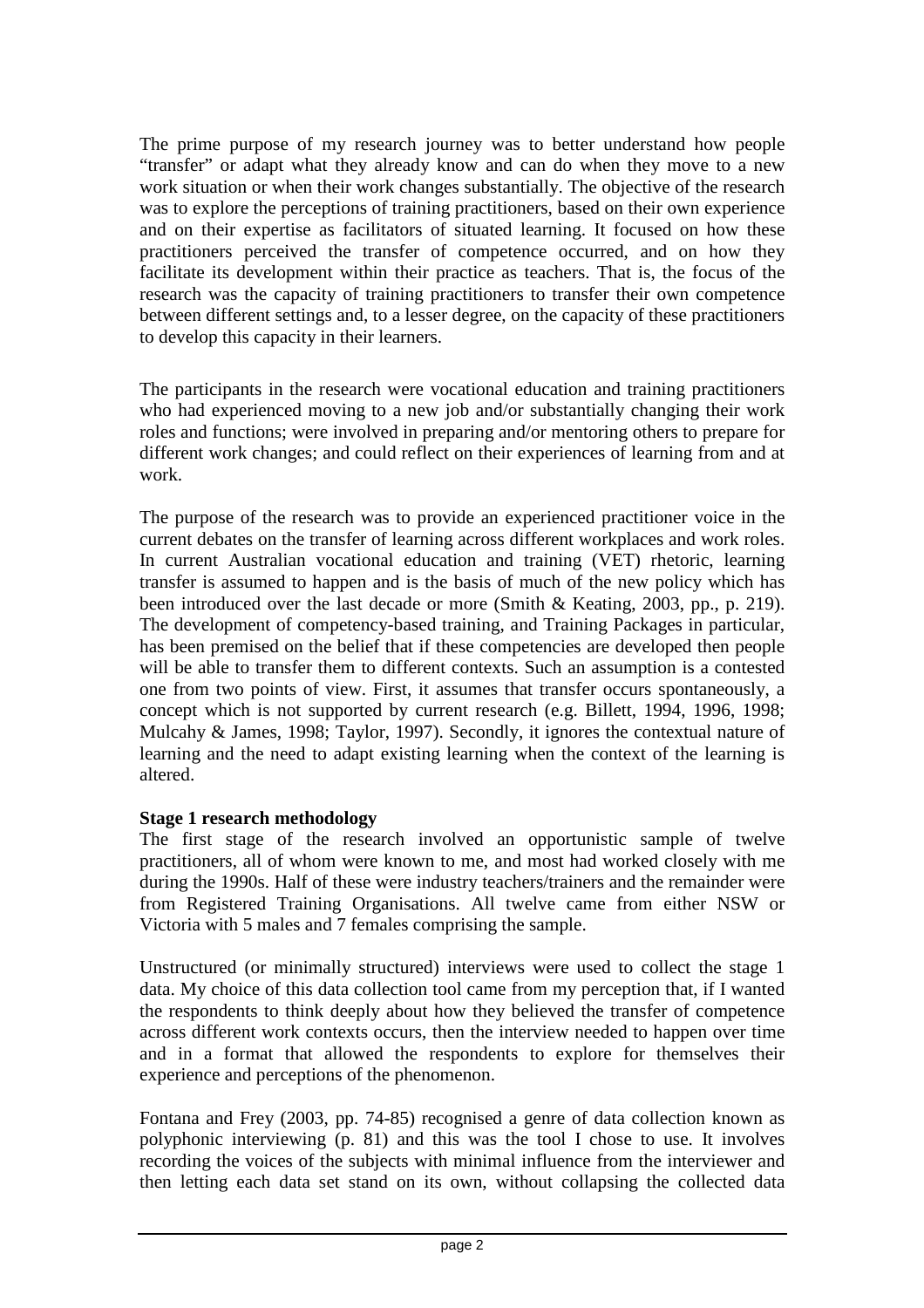The prime purpose of my research journey was to better understand how people "transfer" or adapt what they already know and can do when they move to a new work situation or when their work changes substantially. The objective of the research was to explore the perceptions of training practitioners, based on their own experience and on their expertise as facilitators of situated learning. It focused on how these practitioners perceived the transfer of competence occurred, and on how they facilitate its development within their practice as teachers. That is, the focus of the research was the capacity of training practitioners to transfer their own competence between different settings and, to a lesser degree, on the capacity of these practitioners to develop this capacity in their learners.

The participants in the research were vocational education and training practitioners who had experienced moving to a new job and/or substantially changing their work roles and functions; were involved in preparing and/or mentoring others to prepare for different work changes; and could reflect on their experiences of learning from and at work.

The purpose of the research was to provide an experienced practitioner voice in the current debates on the transfer of learning across different workplaces and work roles. In current Australian vocational education and training (VET) rhetoric, learning transfer is assumed to happen and is the basis of much of the new policy which has been introduced over the last decade or more (Smith & Keating, 2003, pp., p. 219). The development of competency-based training, and Training Packages in particular, has been premised on the belief that if these competencies are developed then people will be able to transfer them to different contexts. Such an assumption is a contested one from two points of view. First, it assumes that transfer occurs spontaneously, a concept which is not supported by current research (e.g. Billett, 1994, 1996, 1998; Mulcahy & James, 1998; Taylor, 1997). Secondly, it ignores the contextual nature of learning and the need to adapt existing learning when the context of the learning is altered.

## **Stage 1 research methodology**

The first stage of the research involved an opportunistic sample of twelve practitioners, all of whom were known to me, and most had worked closely with me during the 1990s. Half of these were industry teachers/trainers and the remainder were from Registered Training Organisations. All twelve came from either NSW or Victoria with 5 males and 7 females comprising the sample.

Unstructured (or minimally structured) interviews were used to collect the stage 1 data. My choice of this data collection tool came from my perception that, if I wanted the respondents to think deeply about how they believed the transfer of competence across different work contexts occurs, then the interview needed to happen over time and in a format that allowed the respondents to explore for themselves their experience and perceptions of the phenomenon.

Fontana and Frey (2003, pp. 74-85) recognised a genre of data collection known as polyphonic interviewing (p. 81) and this was the tool I chose to use. It involves recording the voices of the subjects with minimal influence from the interviewer and then letting each data set stand on its own, without collapsing the collected data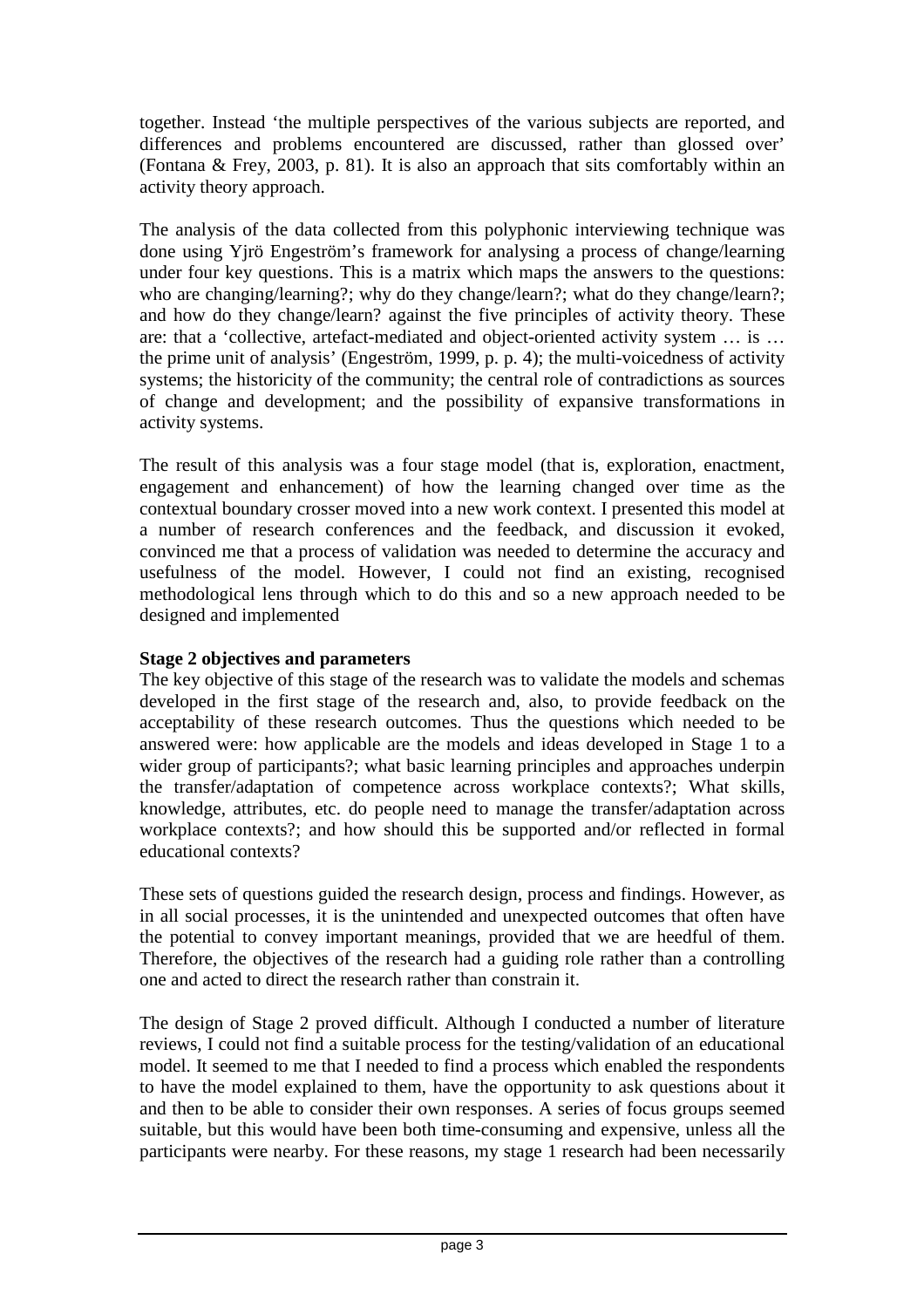together. Instead 'the multiple perspectives of the various subjects are reported, and differences and problems encountered are discussed, rather than glossed over' (Fontana & Frey, 2003, p. 81). It is also an approach that sits comfortably within an activity theory approach.

The analysis of the data collected from this polyphonic interviewing technique was done using Yjrö Engeström's framework for analysing a process of change/learning under four key questions. This is a matrix which maps the answers to the questions: who are changing/learning?; why do they change/learn?; what do they change/learn?; and how do they change/learn? against the five principles of activity theory. These are: that a 'collective, artefact-mediated and object-oriented activity system … is … the prime unit of analysis' (Engeström, 1999, p. p. 4); the multi-voicedness of activity systems; the historicity of the community; the central role of contradictions as sources of change and development; and the possibility of expansive transformations in activity systems.

The result of this analysis was a four stage model (that is, exploration, enactment, engagement and enhancement) of how the learning changed over time as the contextual boundary crosser moved into a new work context. I presented this model at a number of research conferences and the feedback, and discussion it evoked, convinced me that a process of validation was needed to determine the accuracy and usefulness of the model. However, I could not find an existing, recognised methodological lens through which to do this and so a new approach needed to be designed and implemented

# **Stage 2 objectives and parameters**

The key objective of this stage of the research was to validate the models and schemas developed in the first stage of the research and, also, to provide feedback on the acceptability of these research outcomes. Thus the questions which needed to be answered were: how applicable are the models and ideas developed in Stage 1 to a wider group of participants?; what basic learning principles and approaches underpin the transfer/adaptation of competence across workplace contexts?; What skills, knowledge, attributes, etc. do people need to manage the transfer/adaptation across workplace contexts?; and how should this be supported and/or reflected in formal educational contexts?

These sets of questions guided the research design, process and findings. However, as in all social processes, it is the unintended and unexpected outcomes that often have the potential to convey important meanings, provided that we are heedful of them. Therefore, the objectives of the research had a guiding role rather than a controlling one and acted to direct the research rather than constrain it.

The design of Stage 2 proved difficult. Although I conducted a number of literature reviews, I could not find a suitable process for the testing/validation of an educational model. It seemed to me that I needed to find a process which enabled the respondents to have the model explained to them, have the opportunity to ask questions about it and then to be able to consider their own responses. A series of focus groups seemed suitable, but this would have been both time-consuming and expensive, unless all the participants were nearby. For these reasons, my stage 1 research had been necessarily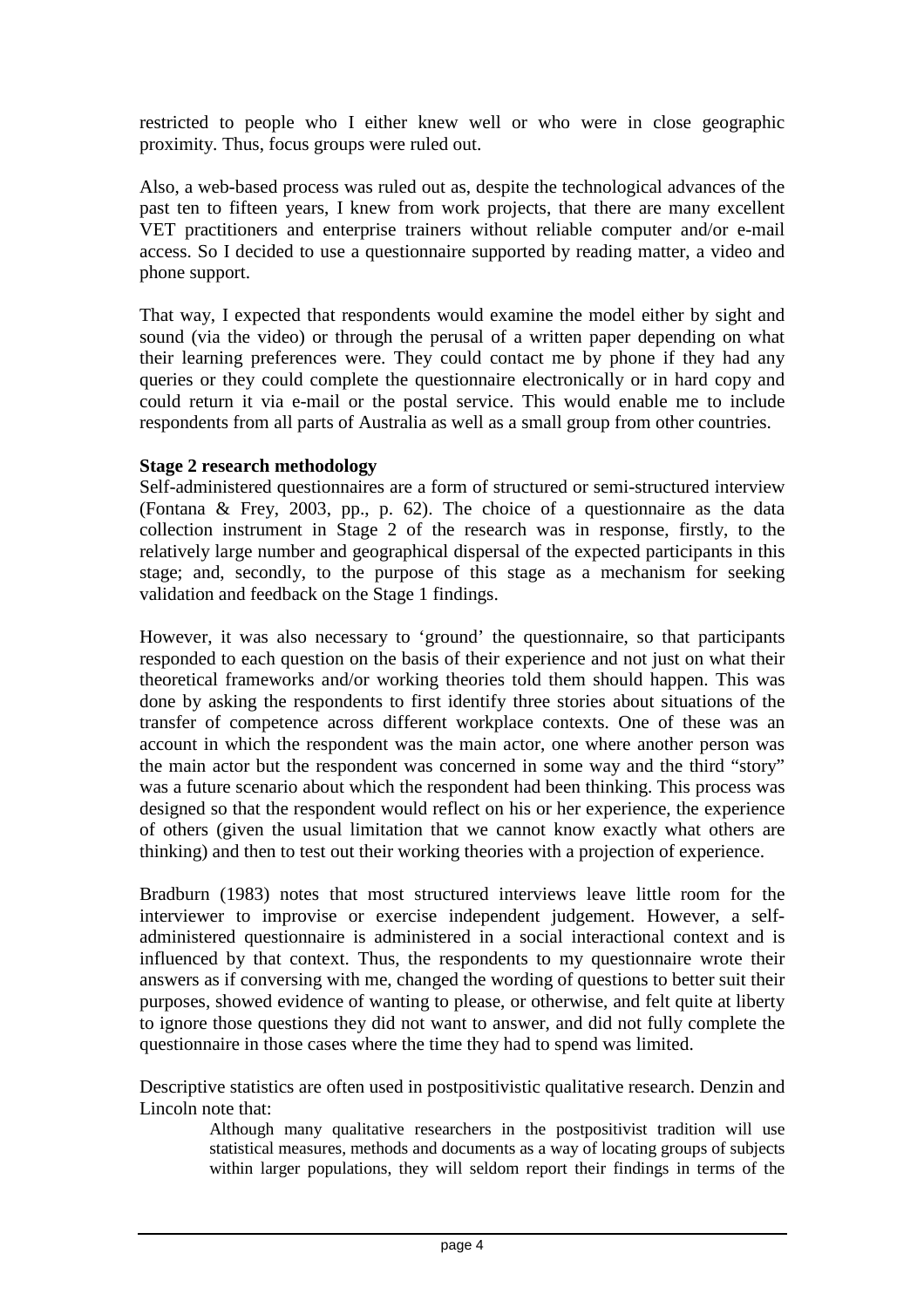restricted to people who I either knew well or who were in close geographic proximity. Thus, focus groups were ruled out.

Also, a web-based process was ruled out as, despite the technological advances of the past ten to fifteen years, I knew from work projects, that there are many excellent VET practitioners and enterprise trainers without reliable computer and/or e-mail access. So I decided to use a questionnaire supported by reading matter, a video and phone support.

That way, I expected that respondents would examine the model either by sight and sound (via the video) or through the perusal of a written paper depending on what their learning preferences were. They could contact me by phone if they had any queries or they could complete the questionnaire electronically or in hard copy and could return it via e-mail or the postal service. This would enable me to include respondents from all parts of Australia as well as a small group from other countries.

#### **Stage 2 research methodology**

Self-administered questionnaires are a form of structured or semi-structured interview (Fontana & Frey, 2003, pp., p. 62). The choice of a questionnaire as the data collection instrument in Stage 2 of the research was in response, firstly, to the relatively large number and geographical dispersal of the expected participants in this stage; and, secondly, to the purpose of this stage as a mechanism for seeking validation and feedback on the Stage 1 findings.

However, it was also necessary to 'ground' the questionnaire, so that participants responded to each question on the basis of their experience and not just on what their theoretical frameworks and/or working theories told them should happen. This was done by asking the respondents to first identify three stories about situations of the transfer of competence across different workplace contexts. One of these was an account in which the respondent was the main actor, one where another person was the main actor but the respondent was concerned in some way and the third "story" was a future scenario about which the respondent had been thinking. This process was designed so that the respondent would reflect on his or her experience, the experience of others (given the usual limitation that we cannot know exactly what others are thinking) and then to test out their working theories with a projection of experience.

Bradburn (1983) notes that most structured interviews leave little room for the interviewer to improvise or exercise independent judgement. However, a selfadministered questionnaire is administered in a social interactional context and is influenced by that context. Thus, the respondents to my questionnaire wrote their answers as if conversing with me, changed the wording of questions to better suit their purposes, showed evidence of wanting to please, or otherwise, and felt quite at liberty to ignore those questions they did not want to answer, and did not fully complete the questionnaire in those cases where the time they had to spend was limited.

Descriptive statistics are often used in postpositivistic qualitative research. Denzin and Lincoln note that:

Although many qualitative researchers in the postpositivist tradition will use statistical measures, methods and documents as a way of locating groups of subjects within larger populations, they will seldom report their findings in terms of the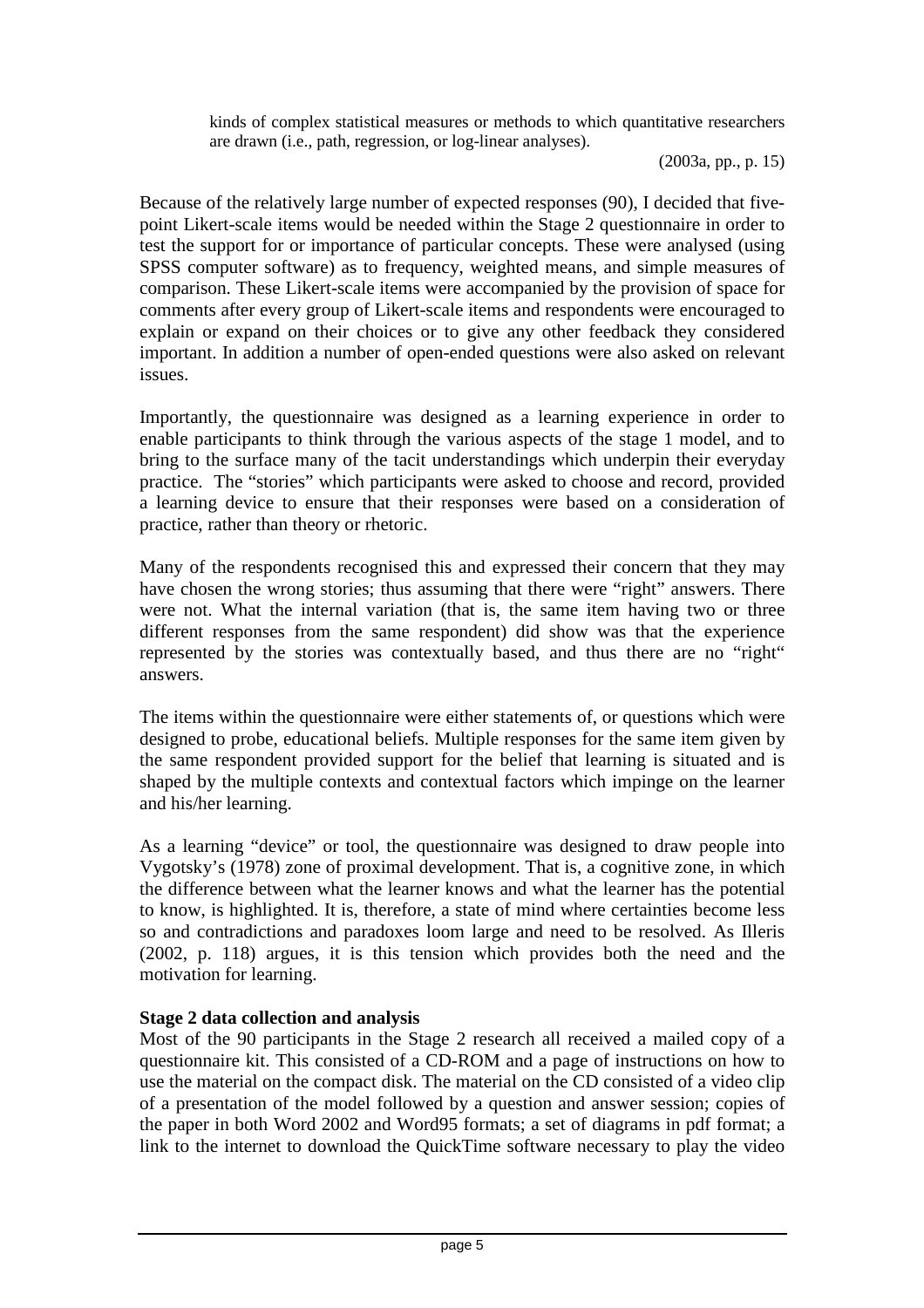kinds of complex statistical measures or methods to which quantitative researchers are drawn (i.e., path, regression, or log-linear analyses).

(2003a, pp., p. 15)

Because of the relatively large number of expected responses (90), I decided that fivepoint Likert-scale items would be needed within the Stage 2 questionnaire in order to test the support for or importance of particular concepts. These were analysed (using SPSS computer software) as to frequency, weighted means, and simple measures of comparison. These Likert-scale items were accompanied by the provision of space for comments after every group of Likert-scale items and respondents were encouraged to explain or expand on their choices or to give any other feedback they considered important. In addition a number of open-ended questions were also asked on relevant issues.

Importantly, the questionnaire was designed as a learning experience in order to enable participants to think through the various aspects of the stage 1 model, and to bring to the surface many of the tacit understandings which underpin their everyday practice. The "stories" which participants were asked to choose and record, provided a learning device to ensure that their responses were based on a consideration of practice, rather than theory or rhetoric.

Many of the respondents recognised this and expressed their concern that they may have chosen the wrong stories; thus assuming that there were "right" answers. There were not. What the internal variation (that is, the same item having two or three different responses from the same respondent) did show was that the experience represented by the stories was contextually based, and thus there are no "right" answers.

The items within the questionnaire were either statements of, or questions which were designed to probe, educational beliefs. Multiple responses for the same item given by the same respondent provided support for the belief that learning is situated and is shaped by the multiple contexts and contextual factors which impinge on the learner and his/her learning.

As a learning "device" or tool, the questionnaire was designed to draw people into Vygotsky's (1978) zone of proximal development. That is, a cognitive zone, in which the difference between what the learner knows and what the learner has the potential to know, is highlighted. It is, therefore, a state of mind where certainties become less so and contradictions and paradoxes loom large and need to be resolved. As Illeris (2002, p. 118) argues, it is this tension which provides both the need and the motivation for learning.

# **Stage 2 data collection and analysis**

Most of the 90 participants in the Stage 2 research all received a mailed copy of a questionnaire kit. This consisted of a CD-ROM and a page of instructions on how to use the material on the compact disk. The material on the CD consisted of a video clip of a presentation of the model followed by a question and answer session; copies of the paper in both Word 2002 and Word95 formats; a set of diagrams in pdf format; a link to the internet to download the QuickTime software necessary to play the video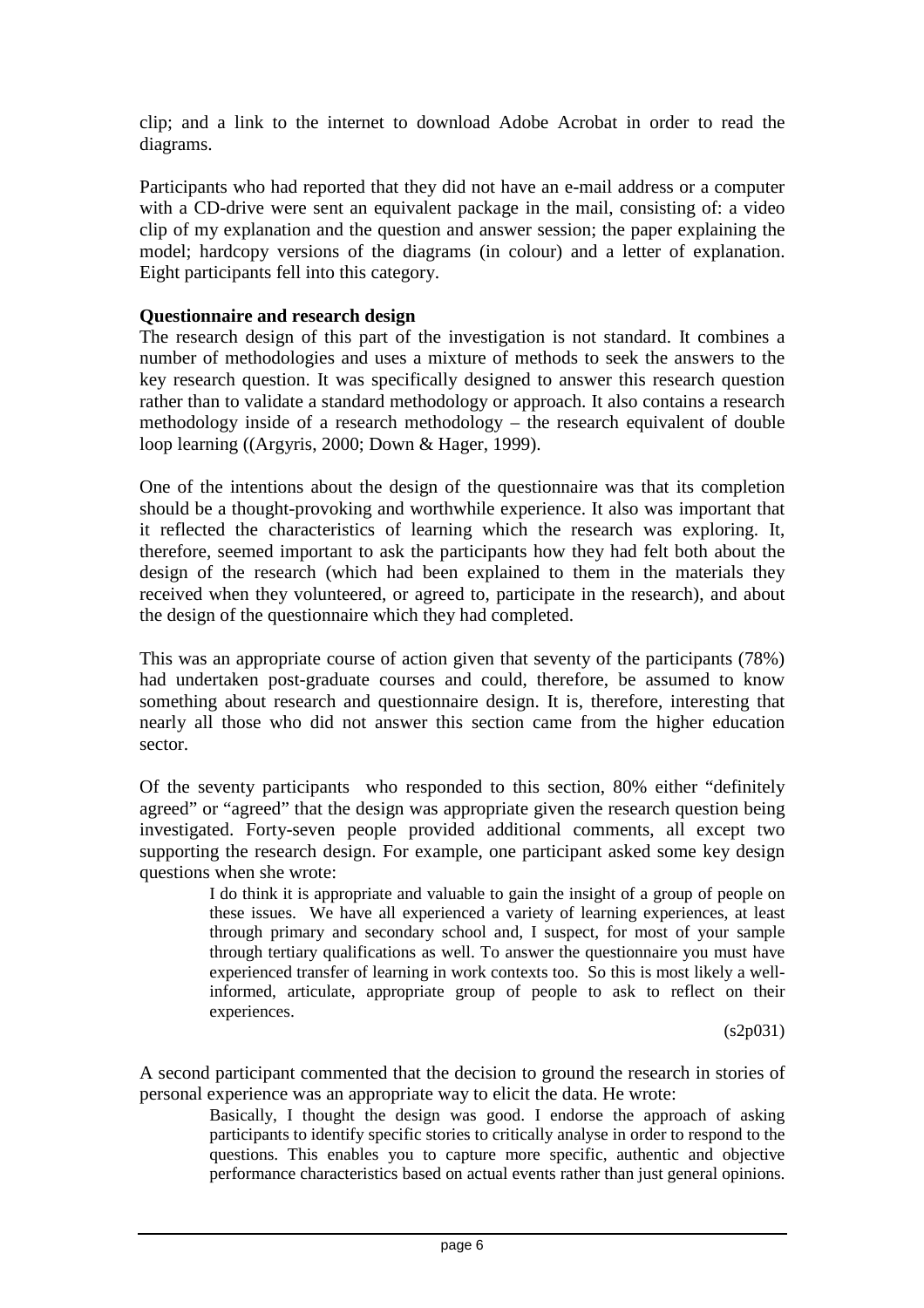clip; and a link to the internet to download Adobe Acrobat in order to read the diagrams.

Participants who had reported that they did not have an e-mail address or a computer with a CD-drive were sent an equivalent package in the mail, consisting of: a video clip of my explanation and the question and answer session; the paper explaining the model; hardcopy versions of the diagrams (in colour) and a letter of explanation. Eight participants fell into this category.

#### **Questionnaire and research design**

The research design of this part of the investigation is not standard. It combines a number of methodologies and uses a mixture of methods to seek the answers to the key research question. It was specifically designed to answer this research question rather than to validate a standard methodology or approach. It also contains a research methodology inside of a research methodology – the research equivalent of double loop learning ((Argyris, 2000; Down & Hager, 1999).

One of the intentions about the design of the questionnaire was that its completion should be a thought-provoking and worthwhile experience. It also was important that it reflected the characteristics of learning which the research was exploring. It, therefore, seemed important to ask the participants how they had felt both about the design of the research (which had been explained to them in the materials they received when they volunteered, or agreed to, participate in the research), and about the design of the questionnaire which they had completed.

This was an appropriate course of action given that seventy of the participants (78%) had undertaken post-graduate courses and could, therefore, be assumed to know something about research and questionnaire design. It is, therefore, interesting that nearly all those who did not answer this section came from the higher education sector.

Of the seventy participants who responded to this section, 80% either "definitely agreed" or "agreed" that the design was appropriate given the research question being investigated. Forty-seven people provided additional comments, all except two supporting the research design. For example, one participant asked some key design questions when she wrote:

> I do think it is appropriate and valuable to gain the insight of a group of people on these issues. We have all experienced a variety of learning experiences, at least through primary and secondary school and, I suspect, for most of your sample through tertiary qualifications as well. To answer the questionnaire you must have experienced transfer of learning in work contexts too. So this is most likely a wellinformed, articulate, appropriate group of people to ask to reflect on their experiences.

> > (s2p031)

A second participant commented that the decision to ground the research in stories of personal experience was an appropriate way to elicit the data. He wrote:

> Basically, I thought the design was good. I endorse the approach of asking participants to identify specific stories to critically analyse in order to respond to the questions. This enables you to capture more specific, authentic and objective performance characteristics based on actual events rather than just general opinions.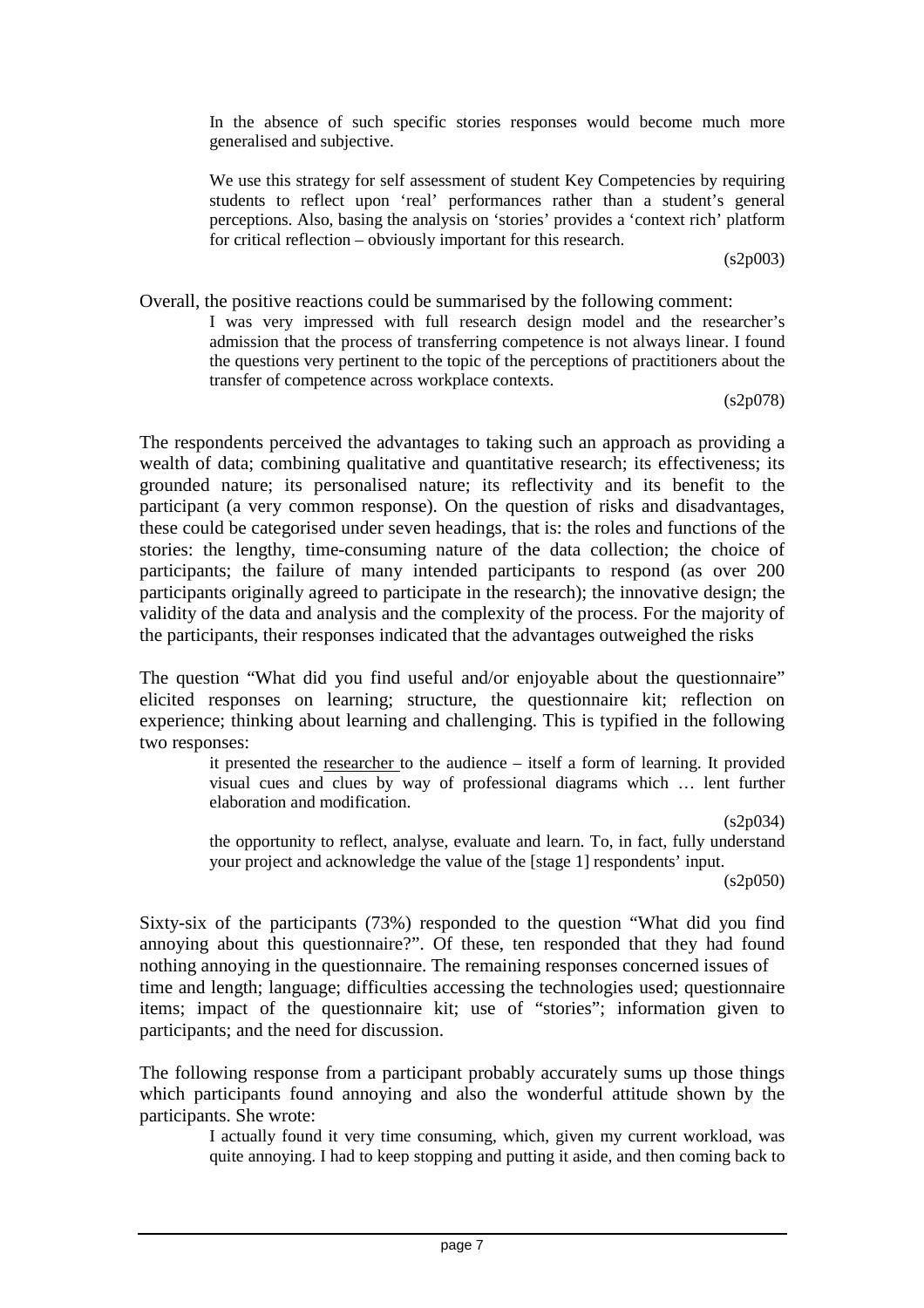In the absence of such specific stories responses would become much more generalised and subjective.

We use this strategy for self assessment of student Key Competencies by requiring students to reflect upon 'real' performances rather than a student's general perceptions. Also, basing the analysis on 'stories' provides a 'context rich' platform for critical reflection – obviously important for this research.

(s2p003)

Overall, the positive reactions could be summarised by the following comment: I was very impressed with full research design model and the researcher's admission that the process of transferring competence is not always linear. I found the questions very pertinent to the topic of the perceptions of practitioners about the transfer of competence across workplace contexts.

(s2p078)

The respondents perceived the advantages to taking such an approach as providing a wealth of data; combining qualitative and quantitative research; its effectiveness; its grounded nature; its personalised nature; its reflectivity and its benefit to the participant (a very common response). On the question of risks and disadvantages, these could be categorised under seven headings, that is: the roles and functions of the stories: the lengthy, time-consuming nature of the data collection; the choice of participants; the failure of many intended participants to respond (as over 200 participants originally agreed to participate in the research); the innovative design; the validity of the data and analysis and the complexity of the process. For the majority of the participants, their responses indicated that the advantages outweighed the risks

The question "What did you find useful and/or enjoyable about the questionnaire" elicited responses on learning; structure, the questionnaire kit; reflection on experience; thinking about learning and challenging. This is typified in the following two responses:

it presented the researcher to the audience – itself a form of learning. It provided visual cues and clues by way of professional diagrams which … lent further elaboration and modification.

(s2p034)

the opportunity to reflect, analyse, evaluate and learn. To, in fact, fully understand your project and acknowledge the value of the [stage 1] respondents' input.

(s2p050)

Sixty-six of the participants (73%) responded to the question "What did you find annoying about this questionnaire?". Of these, ten responded that they had found nothing annoying in the questionnaire. The remaining responses concerned issues of time and length; language; difficulties accessing the technologies used; questionnaire items; impact of the questionnaire kit; use of "stories"; information given to participants; and the need for discussion.

The following response from a participant probably accurately sums up those things which participants found annoying and also the wonderful attitude shown by the participants. She wrote:

> I actually found it very time consuming, which, given my current workload, was quite annoying. I had to keep stopping and putting it aside, and then coming back to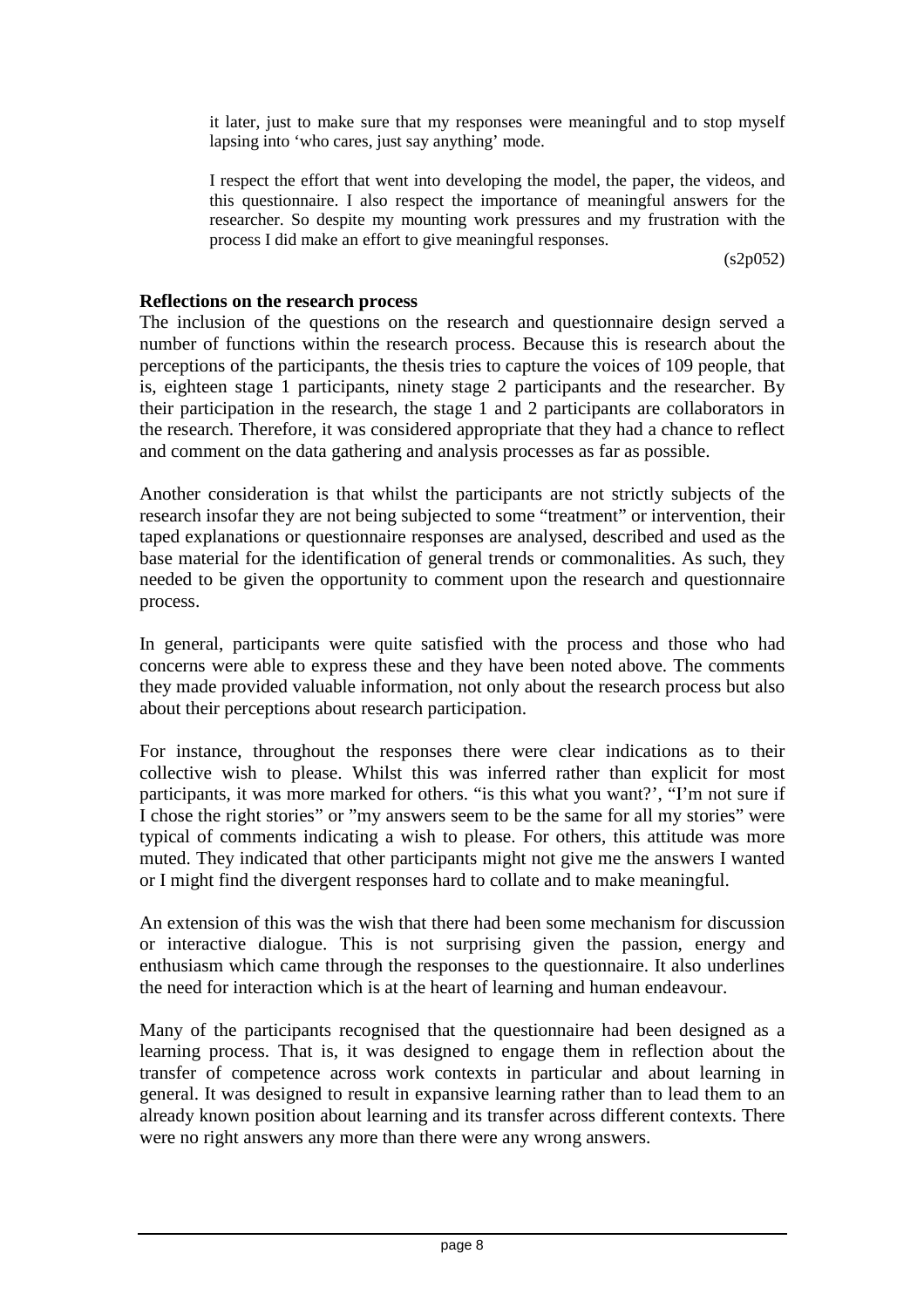it later, just to make sure that my responses were meaningful and to stop myself lapsing into 'who cares, just say anything' mode.

I respect the effort that went into developing the model, the paper, the videos, and this questionnaire. I also respect the importance of meaningful answers for the researcher. So despite my mounting work pressures and my frustration with the process I did make an effort to give meaningful responses.

(s2p052)

#### **Reflections on the research process**

The inclusion of the questions on the research and questionnaire design served a number of functions within the research process. Because this is research about the perceptions of the participants, the thesis tries to capture the voices of 109 people, that is, eighteen stage 1 participants, ninety stage 2 participants and the researcher. By their participation in the research, the stage 1 and 2 participants are collaborators in the research. Therefore, it was considered appropriate that they had a chance to reflect and comment on the data gathering and analysis processes as far as possible.

Another consideration is that whilst the participants are not strictly subjects of the research insofar they are not being subjected to some "treatment" or intervention, their taped explanations or questionnaire responses are analysed, described and used as the base material for the identification of general trends or commonalities. As such, they needed to be given the opportunity to comment upon the research and questionnaire process.

In general, participants were quite satisfied with the process and those who had concerns were able to express these and they have been noted above. The comments they made provided valuable information, not only about the research process but also about their perceptions about research participation.

For instance, throughout the responses there were clear indications as to their collective wish to please. Whilst this was inferred rather than explicit for most participants, it was more marked for others. "is this what you want?', "I'm not sure if I chose the right stories" or "my answers seem to be the same for all my stories" were typical of comments indicating a wish to please. For others, this attitude was more muted. They indicated that other participants might not give me the answers I wanted or I might find the divergent responses hard to collate and to make meaningful.

An extension of this was the wish that there had been some mechanism for discussion or interactive dialogue. This is not surprising given the passion, energy and enthusiasm which came through the responses to the questionnaire. It also underlines the need for interaction which is at the heart of learning and human endeavour.

Many of the participants recognised that the questionnaire had been designed as a learning process. That is, it was designed to engage them in reflection about the transfer of competence across work contexts in particular and about learning in general. It was designed to result in expansive learning rather than to lead them to an already known position about learning and its transfer across different contexts. There were no right answers any more than there were any wrong answers.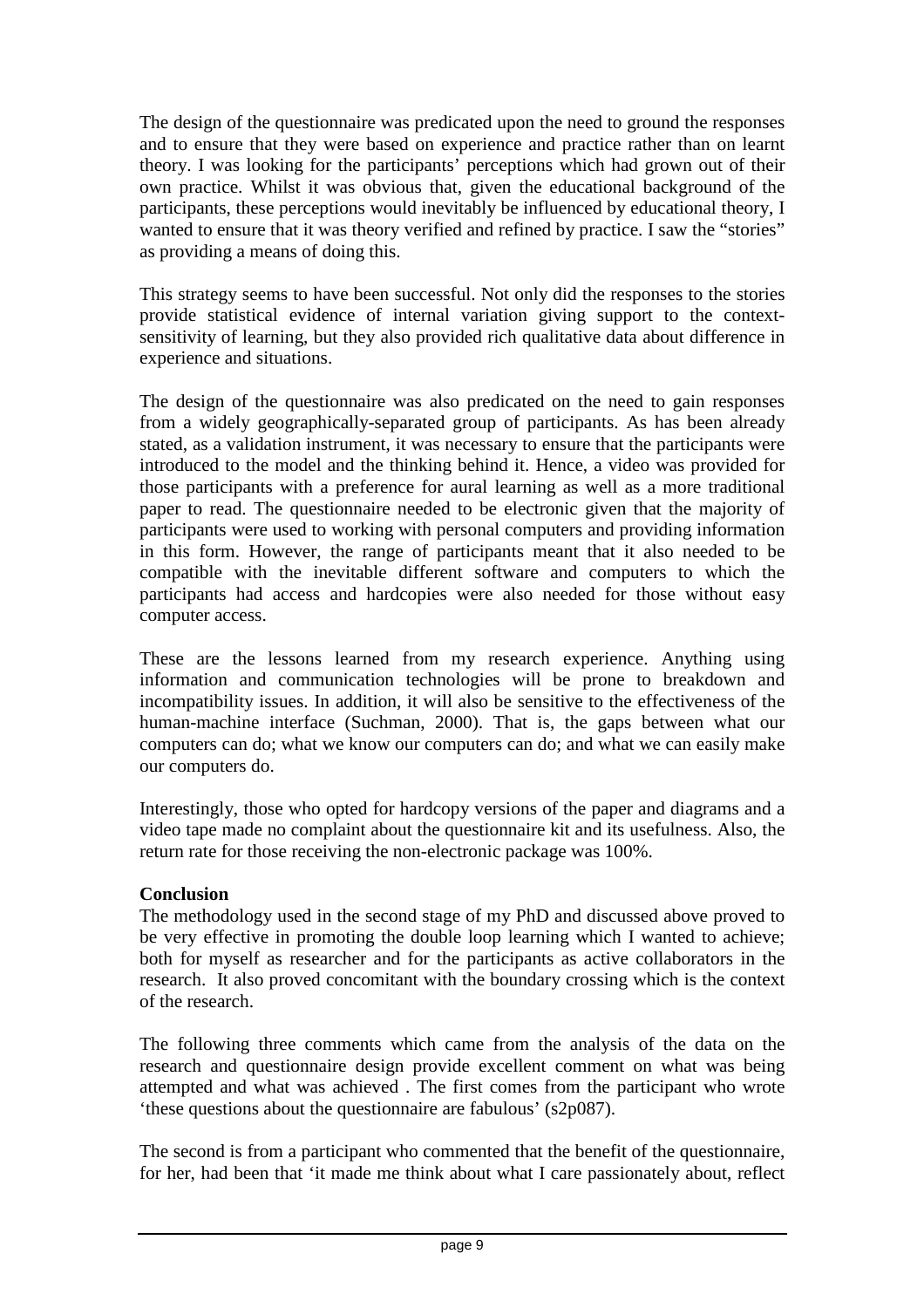The design of the questionnaire was predicated upon the need to ground the responses and to ensure that they were based on experience and practice rather than on learnt theory. I was looking for the participants' perceptions which had grown out of their own practice. Whilst it was obvious that, given the educational background of the participants, these perceptions would inevitably be influenced by educational theory, I wanted to ensure that it was theory verified and refined by practice. I saw the "stories" as providing a means of doing this.

This strategy seems to have been successful. Not only did the responses to the stories provide statistical evidence of internal variation giving support to the contextsensitivity of learning, but they also provided rich qualitative data about difference in experience and situations.

The design of the questionnaire was also predicated on the need to gain responses from a widely geographically-separated group of participants. As has been already stated, as a validation instrument, it was necessary to ensure that the participants were introduced to the model and the thinking behind it. Hence, a video was provided for those participants with a preference for aural learning as well as a more traditional paper to read. The questionnaire needed to be electronic given that the majority of participants were used to working with personal computers and providing information in this form. However, the range of participants meant that it also needed to be compatible with the inevitable different software and computers to which the participants had access and hardcopies were also needed for those without easy computer access.

These are the lessons learned from my research experience. Anything using information and communication technologies will be prone to breakdown and incompatibility issues. In addition, it will also be sensitive to the effectiveness of the human-machine interface (Suchman, 2000). That is, the gaps between what our computers can do; what we know our computers can do; and what we can easily make our computers do.

Interestingly, those who opted for hardcopy versions of the paper and diagrams and a video tape made no complaint about the questionnaire kit and its usefulness. Also, the return rate for those receiving the non-electronic package was 100%.

# **Conclusion**

The methodology used in the second stage of my PhD and discussed above proved to be very effective in promoting the double loop learning which I wanted to achieve; both for myself as researcher and for the participants as active collaborators in the research. It also proved concomitant with the boundary crossing which is the context of the research.

The following three comments which came from the analysis of the data on the research and questionnaire design provide excellent comment on what was being attempted and what was achieved . The first comes from the participant who wrote 'these questions about the questionnaire are fabulous' (s2p087).

The second is from a participant who commented that the benefit of the questionnaire, for her, had been that 'it made me think about what I care passionately about, reflect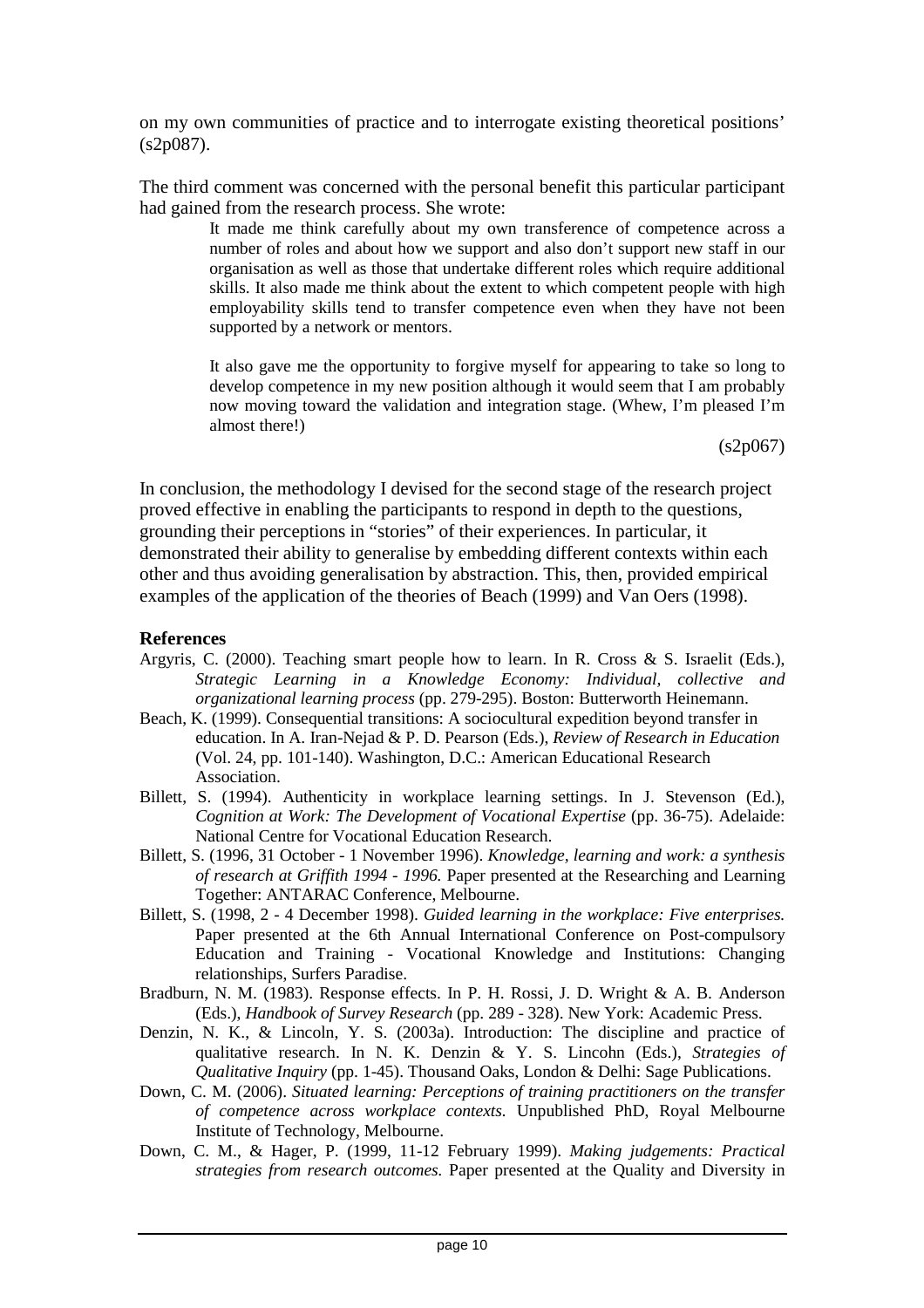on my own communities of practice and to interrogate existing theoretical positions' (s2p087).

The third comment was concerned with the personal benefit this particular participant had gained from the research process. She wrote:

> It made me think carefully about my own transference of competence across a number of roles and about how we support and also don't support new staff in our organisation as well as those that undertake different roles which require additional skills. It also made me think about the extent to which competent people with high employability skills tend to transfer competence even when they have not been supported by a network or mentors.

> It also gave me the opportunity to forgive myself for appearing to take so long to develop competence in my new position although it would seem that I am probably now moving toward the validation and integration stage. (Whew, I'm pleased I'm almost there!)

> > $(s2p067)$

In conclusion, the methodology I devised for the second stage of the research project proved effective in enabling the participants to respond in depth to the questions, grounding their perceptions in "stories" of their experiences. In particular, it demonstrated their ability to generalise by embedding different contexts within each other and thus avoiding generalisation by abstraction. This, then, provided empirical examples of the application of the theories of Beach (1999) and Van Oers (1998).

#### **References**

- Argyris, C. (2000). Teaching smart people how to learn. In R. Cross & S. Israelit (Eds.), *Strategic Learning in a Knowledge Economy: Individual, collective and organizational learning process* (pp. 279-295). Boston: Butterworth Heinemann.
- Beach, K. (1999). Consequential transitions: A sociocultural expedition beyond transfer in education. In A. Iran-Nejad & P. D. Pearson (Eds.), *Review of Research in Education* (Vol. 24, pp. 101-140). Washington, D.C.: American Educational Research Association.
- Billett, S. (1994). Authenticity in workplace learning settings. In J. Stevenson (Ed.), *Cognition at Work: The Development of Vocational Expertise* (pp. 36-75). Adelaide: National Centre for Vocational Education Research.
- Billett, S. (1996, 31 October 1 November 1996). *Knowledge, learning and work: a synthesis of research at Griffith 1994 - 1996.* Paper presented at the Researching and Learning Together: ANTARAC Conference, Melbourne.
- Billett, S. (1998, 2 4 December 1998). *Guided learning in the workplace: Five enterprises.* Paper presented at the 6th Annual International Conference on Post-compulsory Education and Training - Vocational Knowledge and Institutions: Changing relationships, Surfers Paradise.
- Bradburn, N. M. (1983). Response effects. In P. H. Rossi, J. D. Wright & A. B. Anderson (Eds.), *Handbook of Survey Research* (pp. 289 - 328). New York: Academic Press.
- Denzin, N. K., & Lincoln, Y. S. (2003a). Introduction: The discipline and practice of qualitative research. In N. K. Denzin & Y. S. Lincohn (Eds.), *Strategies of Qualitative Inquiry* (pp. 1-45). Thousand Oaks, London & Delhi: Sage Publications.
- Down, C. M. (2006). *Situated learning: Perceptions of training practitioners on the transfer of competence across workplace contexts.* Unpublished PhD, Royal Melbourne Institute of Technology, Melbourne.
- Down, C. M., & Hager, P. (1999, 11-12 February 1999). *Making judgements: Practical strategies from research outcomes.* Paper presented at the Quality and Diversity in